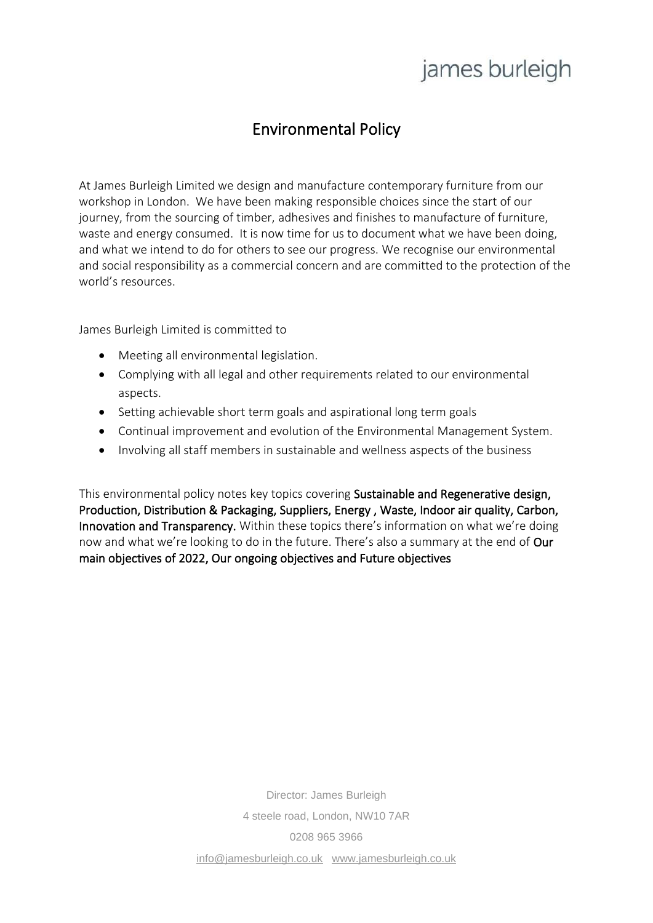### Environmental Policy

At James Burleigh Limited we design and manufacture contemporary furniture from our workshop in London. We have been making responsible choices since the start of our journey, from the sourcing of timber, adhesives and finishes to manufacture of furniture, waste and energy consumed. It is now time for us to document what we have been doing, and what we intend to do for others to see our progress. We recognise our environmental and social responsibility as a commercial concern and are committed to the protection of the world's resources.

James Burleigh Limited is committed to

- Meeting all environmental legislation.
- Complying with all legal and other requirements related to our environmental aspects.
- Setting achievable short term goals and aspirational long term goals
- Continual improvement and evolution of the Environmental Management System.
- Involving all staff members in sustainable and wellness aspects of the business

This environmental policy notes key topics covering Sustainable and Regenerative design, Production, Distribution & Packaging, Suppliers, Energy , Waste, Indoor air quality, Carbon, Innovation and Transparency. Within these topics there's information on what we're doing now and what we're looking to do in the future. There's also a summary at the end of Our main objectives of 2022, Our ongoing objectives and Future objectives

> Director: James Burleigh 4 steele road, London, NW10 7AR 0208 965 3966 [info@jamesburleigh.co.uk](mailto:info@jamesburleigh.co.uk) [www.jamesburleigh.co.uk](http://www.jamesburleigh.co.uk/)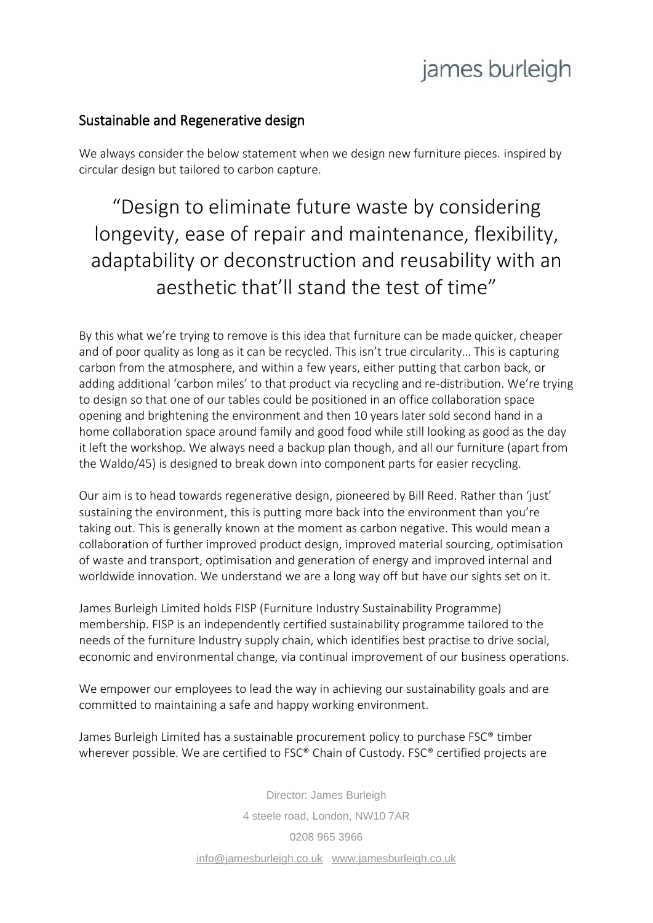#### Sustainable and Regenerative design

We always consider the below statement when we design new furniture pieces. inspired by circular design but tailored to carbon capture.

"Design to eliminate future waste by considering longevity, ease of repair and maintenance, flexibility, adaptability or deconstruction and reusability with an aesthetic that'll stand the test of time"

By this what we're trying to remove is this idea that furniture can be made quicker, cheaper and of poor quality as long as it can be recycled. This isn't true circularity… This is capturing carbon from the atmosphere, and within a few years, either putting that carbon back, or adding additional 'carbon miles' to that product via recycling and re-distribution. We're trying to design so that one of our tables could be positioned in an office collaboration space opening and brightening the environment and then 10 years later sold second hand in a home collaboration space around family and good food while still looking as good as the day it left the workshop. We always need a backup plan though, and all our furniture (apart from the Waldo/45) is designed to break down into component parts for easier recycling.

Our aim is to head towards regenerative design, pioneered by Bill Reed. Rather than 'just' sustaining the environment, this is putting more back into the environment than you're taking out. This is generally known at the moment as carbon negative. This would mean a collaboration of further improved product design, improved material sourcing, optimisation of waste and transport, optimisation and generation of energy and improved internal and worldwide innovation. We understand we are a long way off but have our sights set on it.

James Burleigh Limited holds FISP (Furniture Industry Sustainability Programme) membership. FISP is an independently certified sustainability programme tailored to the needs of the furniture Industry supply chain, which identifies best practise to drive social, economic and environmental change, via continual improvement of our business operations.

We empower our employees to lead the way in achieving our sustainability goals and are committed to maintaining a safe and happy working environment.

James Burleigh Limited has a sustainable procurement policy to purchase FSC® timber wherever possible. We are certified to FSC® Chain of Custody. FSC® certified projects are

> Director: James Burleigh 4 steele road, London, NW10 7AR 0208 965 3966 [info@jamesburleigh.co.uk](mailto:info@jamesburleigh.co.uk) [www.jamesburleigh.co.uk](http://www.jamesburleigh.co.uk/)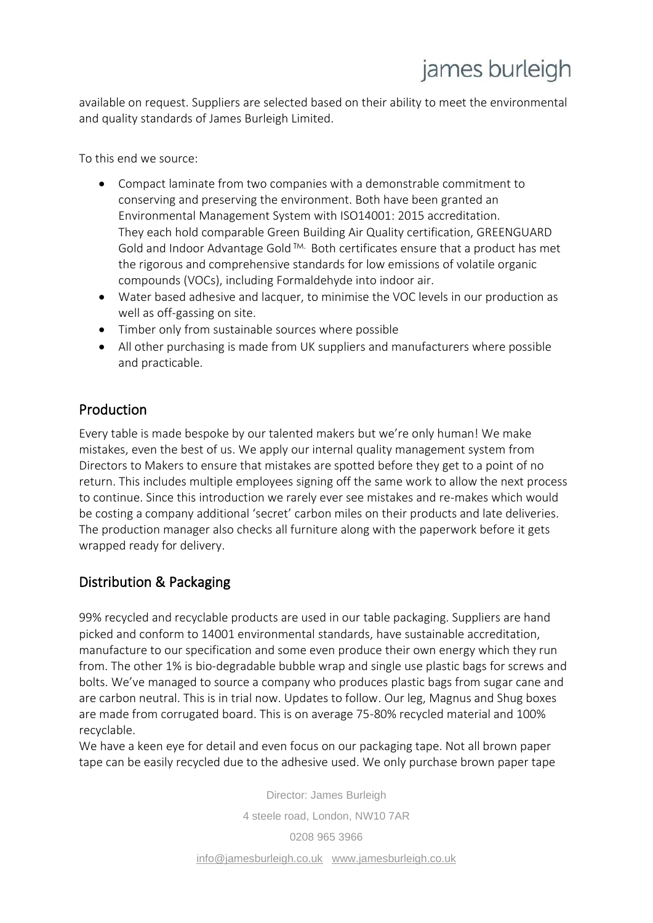available on request. Suppliers are selected based on their ability to meet the environmental and quality standards of James Burleigh Limited.

To this end we source:

- Compact laminate from two companies with a demonstrable commitment to conserving and preserving the environment. Both have been granted an Environmental Management System with ISO14001: 2015 accreditation. They each hold comparable Green Building Air Quality certification, GREENGUARD Gold and Indoor Advantage Gold TM. Both certificates ensure that a product has met the rigorous and comprehensive standards for low emissions of volatile organic compounds (VOCs), including Formaldehyde into indoor air.
- Water based adhesive and lacquer, to minimise the VOC levels in our production as well as off-gassing on site.
- Timber only from sustainable sources where possible
- All other purchasing is made from UK suppliers and manufacturers where possible and practicable.

### Production

Every table is made bespoke by our talented makers but we're only human! We make mistakes, even the best of us. We apply our internal quality management system from Directors to Makers to ensure that mistakes are spotted before they get to a point of no return. This includes multiple employees signing off the same work to allow the next process to continue. Since this introduction we rarely ever see mistakes and re-makes which would be costing a company additional 'secret' carbon miles on their products and late deliveries. The production manager also checks all furniture along with the paperwork before it gets wrapped ready for delivery.

### Distribution & Packaging

99% recycled and recyclable products are used in our table packaging. Suppliers are hand picked and conform to 14001 environmental standards, have sustainable accreditation, manufacture to our specification and some even produce their own energy which they run from. The other 1% is bio-degradable bubble wrap and single use plastic bags for screws and bolts. We've managed to source a company who produces plastic bags from sugar cane and are carbon neutral. This is in trial now. Updates to follow. Our leg, Magnus and Shug boxes are made from corrugated board. This is on average 75-80% recycled material and 100% recyclable.

We have a keen eye for detail and even focus on our packaging tape. Not all brown paper tape can be easily recycled due to the adhesive used. We only purchase brown paper tape

> Director: James Burleigh 4 steele road, London, NW10 7AR 0208 965 3966 [info@jamesburleigh.co.uk](mailto:info@jamesburleigh.co.uk) [www.jamesburleigh.co.uk](http://www.jamesburleigh.co.uk/)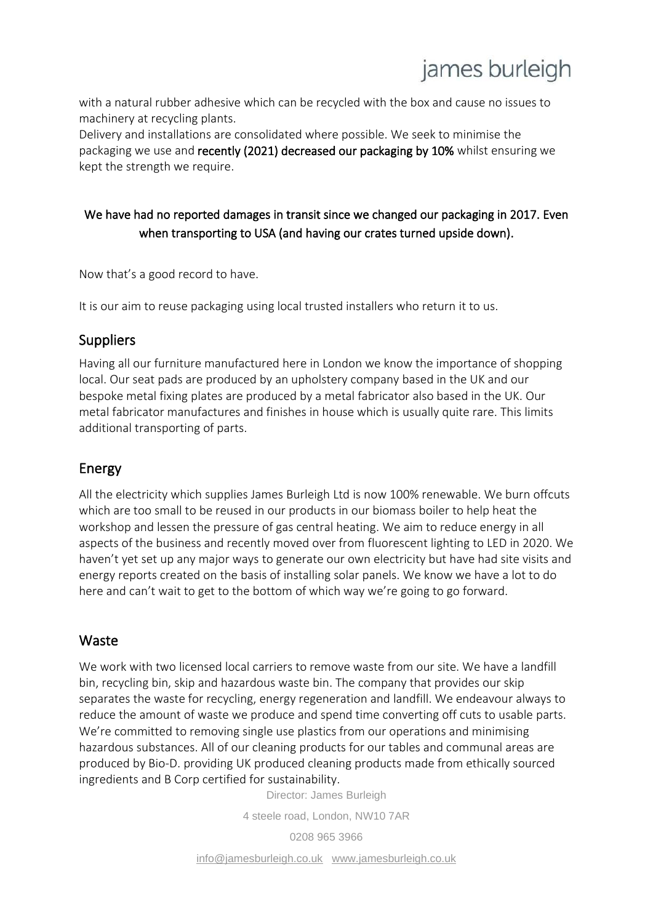with a natural rubber adhesive which can be recycled with the box and cause no issues to machinery at recycling plants.

Delivery and installations are consolidated where possible. We seek to minimise the packaging we use and recently (2021) decreased our packaging by 10% whilst ensuring we kept the strength we require.

### We have had no reported damages in transit since we changed our packaging in 2017. Even when transporting to USA (and having our crates turned upside down).

Now that's a good record to have.

It is our aim to reuse packaging using local trusted installers who return it to us.

#### **Suppliers**

Having all our furniture manufactured here in London we know the importance of shopping local. Our seat pads are produced by an upholstery company based in the UK and our bespoke metal fixing plates are produced by a metal fabricator also based in the UK. Our metal fabricator manufactures and finishes in house which is usually quite rare. This limits additional transporting of parts.

### Energy

All the electricity which supplies James Burleigh Ltd is now 100% renewable. We burn offcuts which are too small to be reused in our products in our biomass boiler to help heat the workshop and lessen the pressure of gas central heating. We aim to reduce energy in all aspects of the business and recently moved over from fluorescent lighting to LED in 2020. We haven't yet set up any major ways to generate our own electricity but have had site visits and energy reports created on the basis of installing solar panels. We know we have a lot to do here and can't wait to get to the bottom of which way we're going to go forward.

### Waste

We work with two licensed local carriers to remove waste from our site. We have a landfill bin, recycling bin, skip and hazardous waste bin. The company that provides our skip separates the waste for recycling, energy regeneration and landfill. We endeavour always to reduce the amount of waste we produce and spend time converting off cuts to usable parts. We're committed to removing single use plastics from our operations and minimising hazardous substances. All of our cleaning products for our tables and communal areas are produced by Bio-D. providing UK produced cleaning products made from ethically sourced ingredients and B Corp certified for sustainability.

Director: James Burleigh

4 steele road, London, NW10 7AR

0208 965 3966

[info@jamesburleigh.co.uk](mailto:info@jamesburleigh.co.uk) [www.jamesburleigh.co.uk](http://www.jamesburleigh.co.uk/)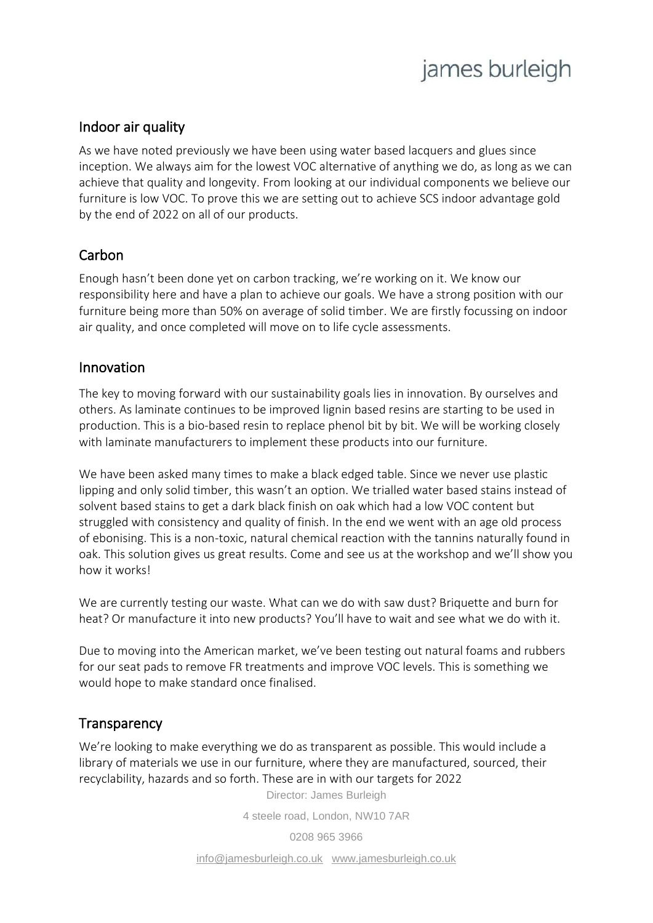#### Indoor air quality

As we have noted previously we have been using water based lacquers and glues since inception. We always aim for the lowest VOC alternative of anything we do, as long as we can achieve that quality and longevity. From looking at our individual components we believe our furniture is low VOC. To prove this we are setting out to achieve SCS indoor advantage gold by the end of 2022 on all of our products.

#### Carbon

Enough hasn't been done yet on carbon tracking, we're working on it. We know our responsibility here and have a plan to achieve our goals. We have a strong position with our furniture being more than 50% on average of solid timber. We are firstly focussing on indoor air quality, and once completed will move on to life cycle assessments.

#### Innovation

The key to moving forward with our sustainability goals lies in innovation. By ourselves and others. As laminate continues to be improved lignin based resins are starting to be used in production. This is a bio-based resin to replace phenol bit by bit. We will be working closely with laminate manufacturers to implement these products into our furniture.

We have been asked many times to make a black edged table. Since we never use plastic lipping and only solid timber, this wasn't an option. We trialled water based stains instead of solvent based stains to get a dark black finish on oak which had a low VOC content but struggled with consistency and quality of finish. In the end we went with an age old process of ebonising. This is a non-toxic, natural chemical reaction with the tannins naturally found in oak. This solution gives us great results. Come and see us at the workshop and we'll show you how it works!

We are currently testing our waste. What can we do with saw dust? Briquette and burn for heat? Or manufacture it into new products? You'll have to wait and see what we do with it.

Due to moving into the American market, we've been testing out natural foams and rubbers for our seat pads to remove FR treatments and improve VOC levels. This is something we would hope to make standard once finalised.

### **Transparency**

We're looking to make everything we do as transparent as possible. This would include a library of materials we use in our furniture, where they are manufactured, sourced, their recyclability, hazards and so forth. These are in with our targets for 2022

Director: James Burleigh

4 steele road, London, NW10 7AR

0208 965 3966

[info@jamesburleigh.co.uk](mailto:info@jamesburleigh.co.uk) [www.jamesburleigh.co.uk](http://www.jamesburleigh.co.uk/)